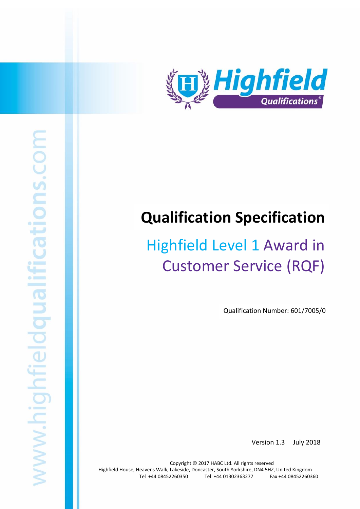

# **Qualification Specification**

# Highfield Level 1 Award in Customer Service (RQF)

Qualification Number: 601/7005/0

Version 1.3 July 2018

Copyright © 2017 HABC Ltd. All rights reserved Highfield House, Heavens Walk, Lakeside, Doncaster, South Yorkshire, DN4 5HZ, United Kingdom Tel +44 08452260350 Tel +44 01302363277 Fax +44 08452260360

Highfield Level 1 Award in Customer Service (RQF) 1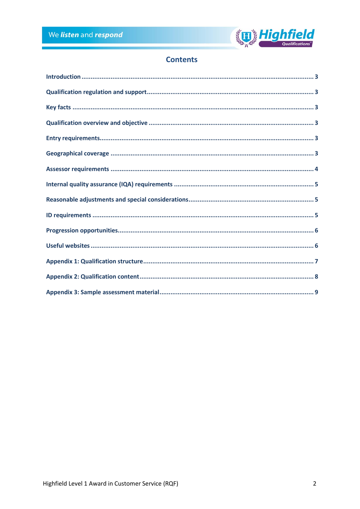

## **Contents**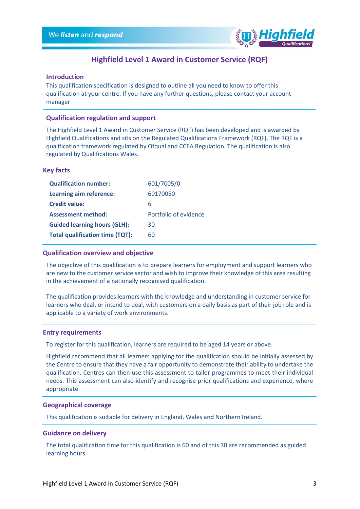

### **Highfield Level 1 Award in Customer Service (RQF)**

#### <span id="page-2-0"></span>**Introduction**

This qualification specification is designed to outline all you need to know to offer this qualification at your centre. If you have any further questions, please contact your account manager

#### <span id="page-2-1"></span>**Qualification regulation and support**

The Highfield Level 1 Award in Customer Service (RQF) has been developed and is awarded by Highfield Qualifications and sits on the Regulated Qualifications Framework (RQF). The RQF is a qualification framework regulated by Ofqual and CCEA Regulation. The qualification is also regulated by Qualifications Wales.

#### <span id="page-2-2"></span>**Key facts**

| <b>Qualification number:</b>           | 601/7005/0            |
|----------------------------------------|-----------------------|
| Learning aim reference:                | 60170050              |
| <b>Credit value:</b>                   | 6                     |
| <b>Assessment method:</b>              | Portfolio of evidence |
| <b>Guided learning hours (GLH):</b>    | 30                    |
| <b>Total qualification time (TQT):</b> | 60                    |

#### <span id="page-2-3"></span>**Qualification overview and objective**

The objective of this qualification is to prepare learners for employment and support learners who are new to the customer service sector and wish to improve their knowledge of this area resulting in the achievement of a nationally recognised qualification.

The qualification provides learners with the knowledge and understanding in customer service for learners who deal, or intend to deal, with customers on a daily basis as part of their job role and is applicable to a variety of work environments.

#### <span id="page-2-4"></span>**Entry requirements**

To register for this qualification, learners are required to be aged 14 years or above.

Highfield recommend that all learners applying for the qualification should be initially assessed by the Centre to ensure that they have a fair opportunity to demonstrate their ability to undertake the qualification. Centres can then use this assessment to tailor programmes to meet their individual needs. This assessment can also identify and recognise prior qualifications and experience, where appropriate.

#### <span id="page-2-5"></span>**Geographical coverage**

This qualification is suitable for delivery in England, Wales and Northern Ireland.

#### **Guidance on delivery**

The total qualification time for this qualification is 60 and of this 30 are recommended as guided learning hours.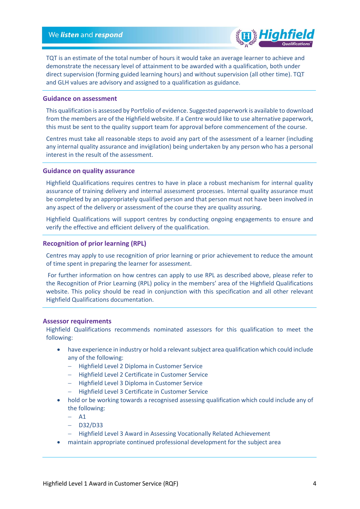

TQT is an estimate of the total number of hours it would take an average learner to achieve and demonstrate the necessary level of attainment to be awarded with a qualification, both under direct supervision (forming guided learning hours) and without supervision (all other time). TQT and GLH values are advisory and assigned to a qualification as guidance.

#### **Guidance on assessment**

This qualification is assessed by Portfolio of evidence. Suggested paperwork is available to download from the members are of the Highfield website. If a Centre would like to use alternative paperwork, this must be sent to the quality support team for approval before commencement of the course.

Centres must take all reasonable steps to avoid any part of the assessment of a learner (including any internal quality assurance and invigilation) being undertaken by any person who has a personal interest in the result of the assessment.

#### **Guidance on quality assurance**

Highfield Qualifications requires centres to have in place a robust mechanism for internal quality assurance of training delivery and internal assessment processes. Internal quality assurance must be completed by an appropriately qualified person and that person must not have been involved in any aspect of the delivery or assessment of the course they are quality assuring.

Highfield Qualifications will support centres by conducting ongoing engagements to ensure and verify the effective and efficient delivery of the qualification.

#### **Recognition of prior learning (RPL)**

Centres may apply to use recognition of prior learning or prior achievement to reduce the amount of time spent in preparing the learner for assessment.

For further information on how centres can apply to use RPL as described above, please refer to the Recognition of Prior Learning (RPL) policy in the members' area of the Highfield Qualifications website. This policy should be read in conjunction with this specification and all other relevant Highfield Qualifications documentation.

#### <span id="page-3-0"></span>**Assessor requirements**

Highfield Qualifications recommends nominated assessors for this qualification to meet the following:

- have experience in industry or hold a relevant subject area qualification which could include any of the following:
	- − Highfield Level 2 Diploma in Customer Service
	- − Highfield Level 2 Certificate in Customer Service
	- − Highfield Level 3 Diploma in Customer Service
	- − Highfield Level 3 Certificate in Customer Service
- hold or be working towards a recognised assessing qualification which could include any of the following:
	- − A1
	- − D32/D33
	- − Highfield Level 3 Award in Assessing Vocationally Related Achievement
- maintain appropriate continued professional development for the subject area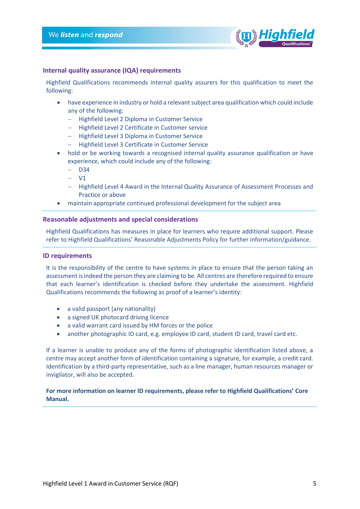

#### <span id="page-4-0"></span>**Internal quality assurance (IQA) requirements**

Highfield Qualifications recommends internal quality assurers for this qualification to meet the following:

- have experience in industry or hold a relevant subject area qualification which could include any of the following:
	- − Highfield Level 2 Diploma in Customer Service
	- − Highfield Level 2 Certificate in Customer service
	- − Highfield Level 3 Diploma in Customer Service
	- − Highfield Level 3 Certificate in Customer Service
- hold or be working towards a recognised internal quality assurance qualification or have experience, which could include any of the following:
	- − D34
	- − V1
	- − Highfield Level 4 Award in the Internal Quality Assurance of Assessment Processes and Practice or above
- maintain appropriate continued professional development for the subject area

#### <span id="page-4-1"></span>**Reasonable adjustments and special considerations**

Highfield Qualifications has measures in place for learners who require additional support. Please refer to Highfield Qualifications' Reasonable Adjustments Policy for further information/guidance.

#### <span id="page-4-2"></span>**ID requirements**

It is the responsibility of the centre to have systems in place to ensure that the person taking an assessment is indeed the person they are claiming to be. All centres are therefore required to ensure that each learner's identification is checked before they undertake the assessment. Highfield Qualifications recommends the following as proof of a learner's identity:

- a valid passport (any nationality)
- a signed UK photocard driving licence
- a valid warrant card issued by HM forces or the police
- another photographic ID card, e.g. employee ID card, student ID card, travel card etc.

If a learner is unable to produce any of the forms of photographic identification listed above, a centre may accept another form of identification containing a signature, for example, a credit card. Identification by a third-party representative, such as a line manager, human resources manager or invigilator, will also be accepted.

#### **For more information on learner ID requirements, please refer to Highfield Qualifications' Core Manual.**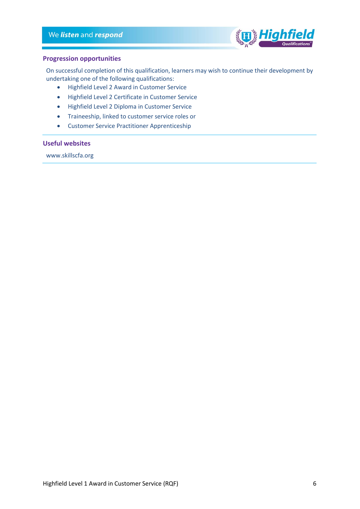

#### <span id="page-5-0"></span>**Progression opportunities**

On successful completion of this qualification, learners may wish to continue their development by undertaking one of the following qualifications:

- Highfield Level 2 Award in Customer Service
- Highfield Level 2 Certificate in Customer Service
- Highfield Level 2 Diploma in Customer Service
- Traineeship, linked to customer service roles or
- Customer Service Practitioner Apprenticeship

#### <span id="page-5-1"></span>**Useful websites**

www.skillscfa.org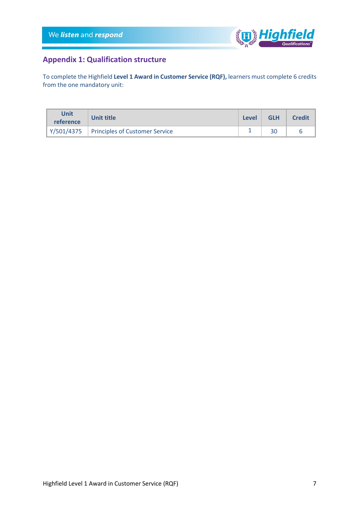

## <span id="page-6-0"></span>**Appendix 1: Qualification structure**

To complete the Highfield **Level 1 Award in Customer Service (RQF),** learners must complete 6 credits from the one mandatory unit:

| Unit<br>reference | <b>Unit title</b>                           | <b>Level</b> | <b>GLH</b> | <b>Credit</b> |
|-------------------|---------------------------------------------|--------------|------------|---------------|
|                   | Y/501/4375   Principles of Customer Service |              |            |               |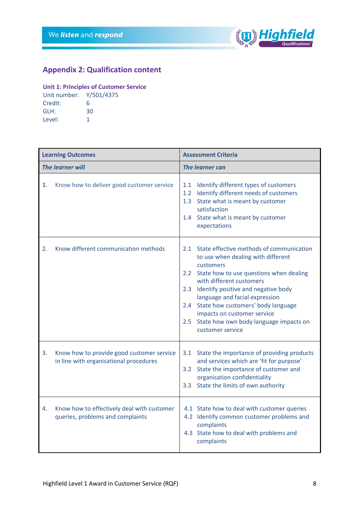

## <span id="page-7-0"></span>**Appendix 2: Qualification content**

#### **Unit 1: Principles of Customer Service**

| Unit number: Y/501/4375 |    |
|-------------------------|----|
| Credit:                 | 6  |
| GLH:                    | 30 |
| Level:                  |    |

|    | <b>Learning Outcomes</b>                                                            | <b>Assessment Criteria</b>                                                                                                                                                                                                                                                                                                                                                                                     |
|----|-------------------------------------------------------------------------------------|----------------------------------------------------------------------------------------------------------------------------------------------------------------------------------------------------------------------------------------------------------------------------------------------------------------------------------------------------------------------------------------------------------------|
|    | <b>The learner will</b>                                                             | <b>The learner can</b>                                                                                                                                                                                                                                                                                                                                                                                         |
| 1. | Know how to deliver good customer service                                           | 1.1<br>Identify different types of customers<br>Identify different needs of customers<br>1.2<br>State what is meant by customer<br>1.3<br>satisfaction<br>1.4 State what is meant by customer<br>expectations                                                                                                                                                                                                  |
| 2. | Know different communication methods                                                | State effective methods of communication<br>2.1<br>to use when dealing with different<br>customers<br>2.2 State how to use questions when dealing<br>with different customers<br>Identify positive and negative body<br>2.3<br>language and facial expression<br>State how customers' body language<br>2.4<br>impacts on customer service<br>State how own body language impacts on<br>2.5<br>customer service |
| 3. | Know how to provide good customer service<br>in line with organisational procedures | State the importance of providing products<br>3.1<br>and services which are 'fit for purpose'<br>State the importance of customer and<br>3.2<br>organisation confidentiality<br>3.3 State the limits of own authority                                                                                                                                                                                          |
| 4. | Know how to effectively deal with customer<br>queries, problems and complaints      | 4.1 State how to deal with customer queries<br>4.2 Identify common customer problems and<br>complaints<br>4.3 State how to deal with problems and<br>complaints                                                                                                                                                                                                                                                |